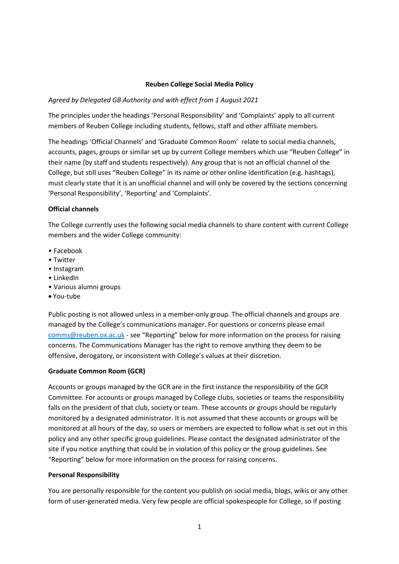#### **Reuben College Social Media Policy**

## *Agreed by Delegated GB Authority and with effect from 1 August 2021*

The principles under the headings 'Personal Responsibility' and 'Complaints' apply to all current members of Reuben College including students, fellows, staff and other affiliate members.

The headings 'Official Channels' and 'Graduate Common Room' relate to social media channels, accounts, pages, groups or similar set up by current College members which use "Reuben College" in their name (by staff and students respectively). Any group that is not an official channel of the College, but still uses "Reuben College" in its name or other online identification (e.g. hashtags), must clearly state that it is an unofficial channel and will only be covered by the sections concerning 'Personal Responsibility', 'Reporting' and 'Complaints'.

## **Official channels**

The College currently uses the following social media channels to share content with current College members and the wider College community:

- Facebook
- Twitter
- Instagram
- LinkedIn
- Various alumni groups
- You-tube

Public posting is not allowed unless in a member-only group. The official channels and groups are managed by the College's communications manager. For questions or concerns please email [comms@reuben.ox.ac.uk](mailto:comms@reuben.ox.ac.uk) - see "Reporting" below for more information on the process for raising concerns. The Communications Manager has the right to remove anything they deem to be offensive, derogatory, or inconsistent with College's values at their discretion.

#### **Graduate Common Room (GCR)**

Accounts or groups managed by the GCR are in the first instance the responsibility of the GCR Committee. For accounts or groups managed by College clubs, societies or teams the responsibility falls on the president of that club, society or team. These accounts or groups should be regularly monitored by a designated administrator. It is not assumed that these accounts or groups will be monitored at all hours of the day, so users or members are expected to follow what is set out in this policy and any other specific group guidelines. Please contact the designated administrator of the site if you notice anything that could be in violation of this policy or the group guidelines. See "Reporting" below for more information on the process for raising concerns.

#### **Personal Responsibility**

You are personally responsible for the content you publish on social media, blogs, wikis or any other form of user-generated media. Very few people are official spokespeople for College, so if posting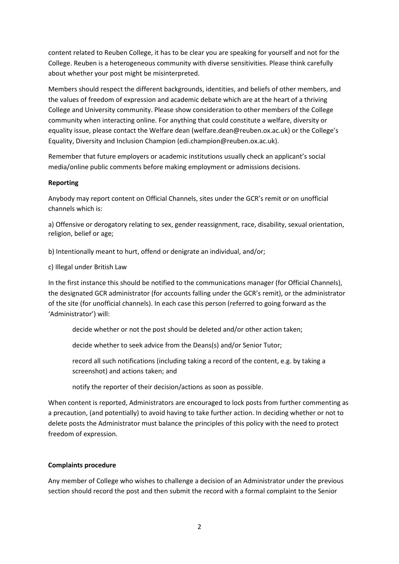content related to Reuben College, it has to be clear you are speaking for yourself and not for the College. Reuben is a heterogeneous community with diverse sensitivities. Please think carefully about whether your post might be misinterpreted.

Members should respect the different backgrounds, identities, and beliefs of other members, and the values of freedom of expression and academic debate which are at the heart of a thriving College and University community. Please show consideration to other members of the College community when interacting online. For anything that could constitute a welfare, diversity or equality issue, please contact the Welfare dean (welfare.dean@reuben.ox.ac.uk) or the College's Equality, Diversity and Inclusion Champion (edi.champion@reuben.ox.ac.uk).

Remember that future employers or academic institutions usually check an applicant's social media/online public comments before making employment or admissions decisions.

## **Reporting**

Anybody may report content on Official Channels, sites under the GCR's remit or on unofficial channels which is:

a) Offensive or derogatory relating to sex, gender reassignment, race, disability, sexual orientation, religion, belief or age;

b) Intentionally meant to hurt, offend or denigrate an individual, and/or;

c) Illegal under British Law

In the first instance this should be notified to the communications manager (for Official Channels), the designated GCR administrator (for accounts falling under the GCR's remit), or the administrator of the site (for unofficial channels). In each case this person (referred to going forward as the 'Administrator') will:

decide whether or not the post should be deleted and/or other action taken;

decide whether to seek advice from the Deans(s) and/or Senior Tutor;

record all such notifications (including taking a record of the content, e.g. by taking a screenshot) and actions taken; and

notify the reporter of their decision/actions as soon as possible.

When content is reported, Administrators are encouraged to lock posts from further commenting as a precaution, (and potentially) to avoid having to take further action. In deciding whether or not to delete posts the Administrator must balance the principles of this policy with the need to protect freedom of expression.

# **Complaints procedure**

Any member of College who wishes to challenge a decision of an Administrator under the previous section should record the post and then submit the record with a formal complaint to the Senior